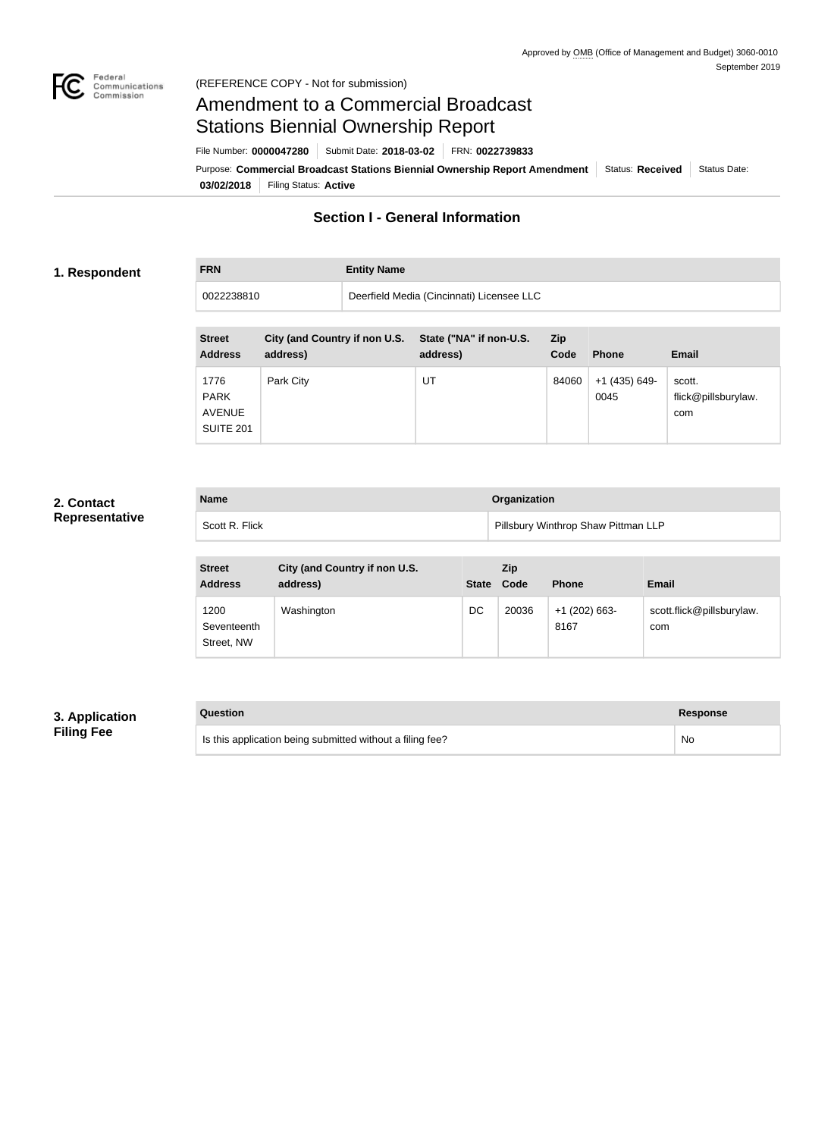

# Amendment to a Commercial Broadcast Stations Biennial Ownership Report

Purpose: Commercial Broadcast Stations Biennial Ownership Report Amendment Status: Received Status Date: File Number: **0000047280** Submit Date: **2018-03-02** FRN: **0022739833**

**03/02/2018** Filing Status: **Active**

# **Section I - General Information**

### **1. Respondent**

**FRN Entity Name**

0022238810 Deerfield Media (Cincinnati) Licensee LLC

| <b>Street</b><br><b>Address</b>                          | City (and Country if non U.S.<br>address) | State ("NA" if non-U.S.<br>address) | <b>Zip</b><br>Code | <b>Phone</b>          | <b>Email</b>                         |
|----------------------------------------------------------|-------------------------------------------|-------------------------------------|--------------------|-----------------------|--------------------------------------|
| 1776<br><b>PARK</b><br><b>AVENUE</b><br><b>SUITE 201</b> | Park City                                 | UT                                  | 84060              | +1 (435) 649-<br>0045 | scott.<br>flick@pillsburylaw.<br>com |

### **2. Contact Representative**

| <b>Name</b>    | Organization                        |
|----------------|-------------------------------------|
| Scott R. Flick | Pillsbury Winthrop Shaw Pittman LLP |

| <b>Street</b><br><b>Address</b>   | City (and Country if non U.S.<br>address) | <b>State</b> | <b>Zip</b><br>Code | <b>Phone</b>            | <b>Email</b>                     |
|-----------------------------------|-------------------------------------------|--------------|--------------------|-------------------------|----------------------------------|
| 1200<br>Seventeenth<br>Street, NW | Washington                                | DC           | 20036              | $+1$ (202) 663-<br>8167 | scott.flick@pillsburylaw.<br>com |

### **3. Application Filing Fee**

| Question                                                  | Response |
|-----------------------------------------------------------|----------|
| Is this application being submitted without a filing fee? | No       |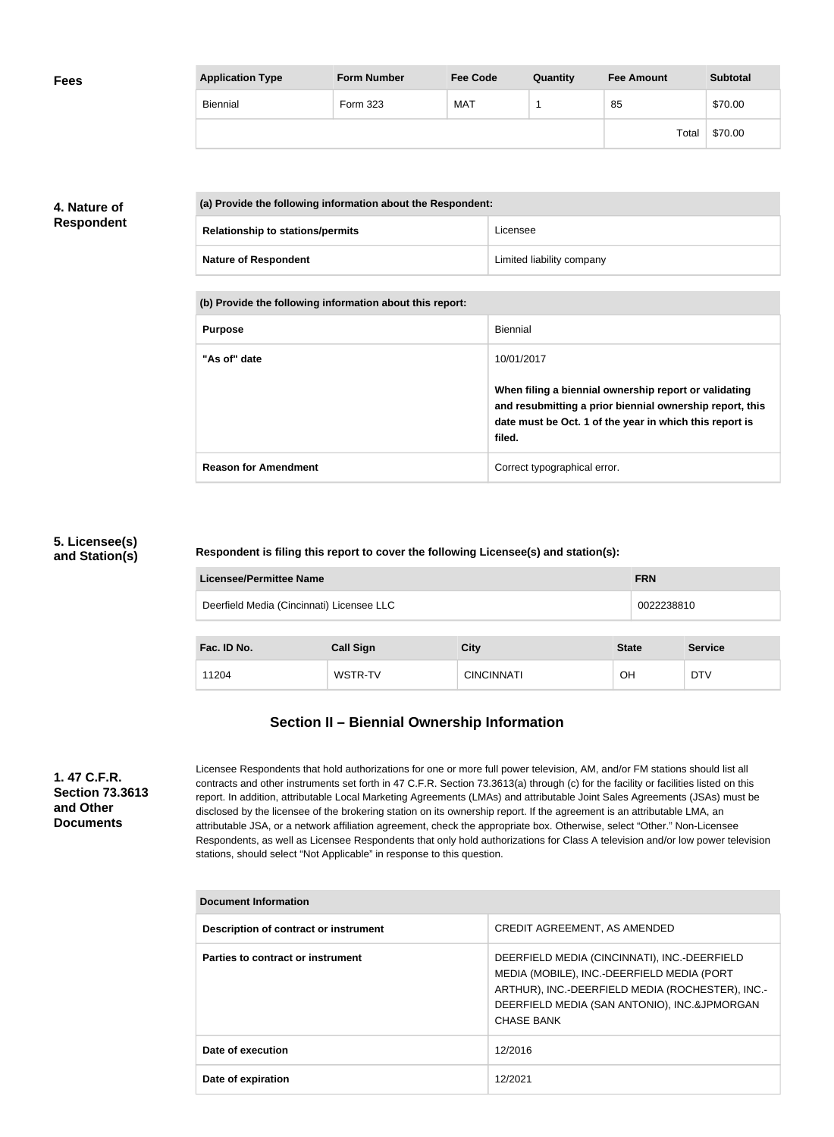| <b>Application Type</b> | <b>Form Number</b> | <b>Fee Code</b> | Quantity | <b>Fee Amount</b> | <b>Subtotal</b> |
|-------------------------|--------------------|-----------------|----------|-------------------|-----------------|
| Biennial                | <b>Form 323</b>    | MAT             |          | 85                | \$70.00         |
|                         |                    |                 |          | Total             | \$70.00         |

### **4. Nature of Respondent**

**Fees**

| (a) Provide the following information about the Respondent: |                                         |                           |
|-------------------------------------------------------------|-----------------------------------------|---------------------------|
|                                                             | <b>Relationship to stations/permits</b> | Licensee                  |
|                                                             | <b>Nature of Respondent</b>             | Limited liability company |

**(b) Provide the following information about this report:**

| <b>Purpose</b>              | Biennial                                                                                                                                                                               |
|-----------------------------|----------------------------------------------------------------------------------------------------------------------------------------------------------------------------------------|
| "As of" date                | 10/01/2017                                                                                                                                                                             |
|                             | When filing a biennial ownership report or validating<br>and resubmitting a prior biennial ownership report, this<br>date must be Oct. 1 of the year in which this report is<br>filed. |
| <b>Reason for Amendment</b> | Correct typographical error.                                                                                                                                                           |

### **5. Licensee(s) and Station(s)**

#### **Respondent is filing this report to cover the following Licensee(s) and station(s):**

| <b>Licensee/Permittee Name</b><br><b>FRN</b>            |                  |                   |              |                |
|---------------------------------------------------------|------------------|-------------------|--------------|----------------|
| Deerfield Media (Cincinnati) Licensee LLC<br>0022238810 |                  |                   |              |                |
| Fac. ID No.                                             | <b>Call Sign</b> | <b>City</b>       | <b>State</b> | <b>Service</b> |
| 11204                                                   | WSTR-TV          | <b>CINCINNATI</b> | <b>OH</b>    | <b>DTV</b>     |

### **Section II – Biennial Ownership Information**

**1. 47 C.F.R. Section 73.3613 and Other Documents**

Licensee Respondents that hold authorizations for one or more full power television, AM, and/or FM stations should list all contracts and other instruments set forth in 47 C.F.R. Section 73.3613(a) through (c) for the facility or facilities listed on this report. In addition, attributable Local Marketing Agreements (LMAs) and attributable Joint Sales Agreements (JSAs) must be disclosed by the licensee of the brokering station on its ownership report. If the agreement is an attributable LMA, an attributable JSA, or a network affiliation agreement, check the appropriate box. Otherwise, select "Other." Non-Licensee Respondents, as well as Licensee Respondents that only hold authorizations for Class A television and/or low power television stations, should select "Not Applicable" in response to this question.

| <b>Document Information</b>           |                                                                                                                                                                                                                     |
|---------------------------------------|---------------------------------------------------------------------------------------------------------------------------------------------------------------------------------------------------------------------|
| Description of contract or instrument | CREDIT AGREEMENT, AS AMENDED                                                                                                                                                                                        |
| Parties to contract or instrument     | DEERFIELD MEDIA (CINCINNATI), INC.-DEERFIELD<br>MEDIA (MOBILE), INC.-DEERFIELD MEDIA (PORT<br>ARTHUR), INC.-DEERFIELD MEDIA (ROCHESTER), INC.-<br>DEERFIELD MEDIA (SAN ANTONIO), INC.&JPMORGAN<br><b>CHASE BANK</b> |
| Date of execution                     | 12/2016                                                                                                                                                                                                             |
| Date of expiration                    | 12/2021                                                                                                                                                                                                             |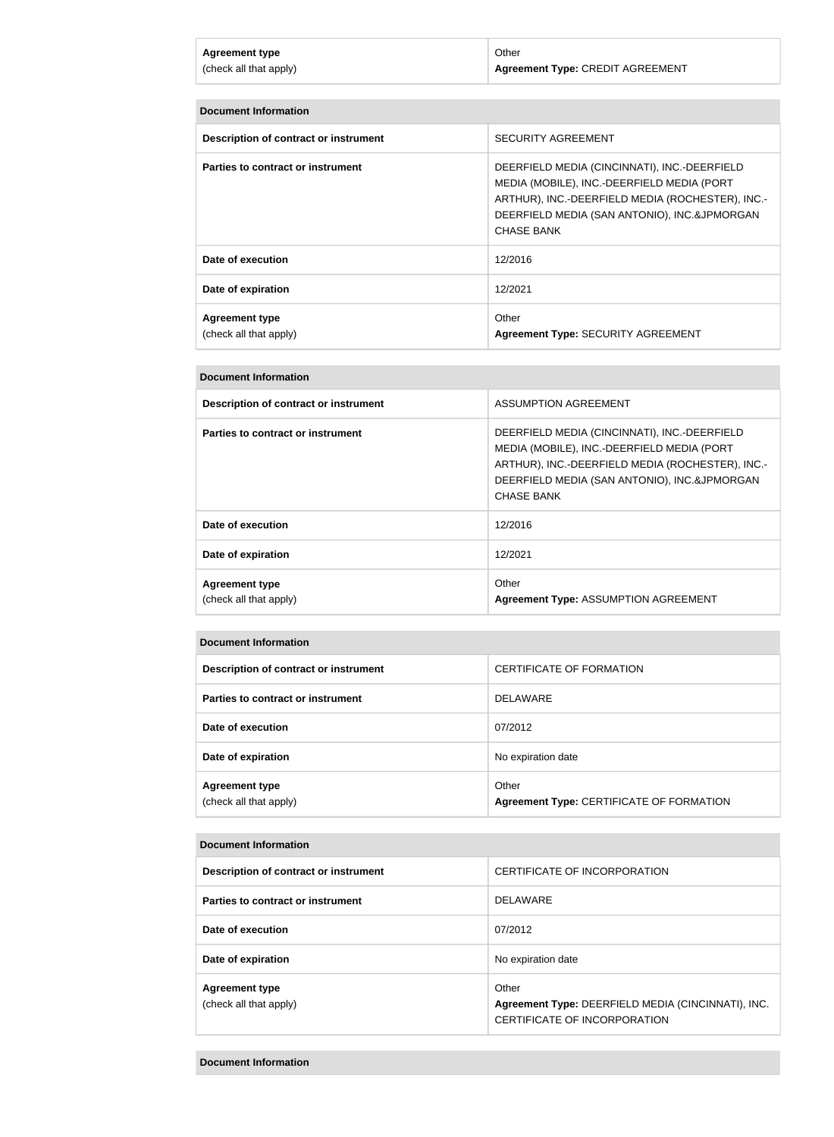| <b>Agreement type</b>  | Other                                   |
|------------------------|-----------------------------------------|
| (check all that apply) | <b>Agreement Type: CREDIT AGREEMENT</b> |
|                        |                                         |

| <b>Document Information</b>                     |                                                                                                                                                                                                                     |
|-------------------------------------------------|---------------------------------------------------------------------------------------------------------------------------------------------------------------------------------------------------------------------|
| Description of contract or instrument           | <b>SECURITY AGREEMENT</b>                                                                                                                                                                                           |
| Parties to contract or instrument               | DEERFIELD MEDIA (CINCINNATI), INC.-DEERFIELD<br>MEDIA (MOBILE), INC.-DEERFIELD MEDIA (PORT<br>ARTHUR), INC.-DEERFIELD MEDIA (ROCHESTER), INC.-<br>DEERFIELD MEDIA (SAN ANTONIO), INC.&JPMORGAN<br><b>CHASE BANK</b> |
| Date of execution                               | 12/2016                                                                                                                                                                                                             |
| Date of expiration                              | 12/2021                                                                                                                                                                                                             |
| <b>Agreement type</b><br>(check all that apply) | Other<br><b>Agreement Type: SECURITY AGREEMENT</b>                                                                                                                                                                  |

| <b>Document Information</b>                     |                                                                                                                                                                                                                     |
|-------------------------------------------------|---------------------------------------------------------------------------------------------------------------------------------------------------------------------------------------------------------------------|
| Description of contract or instrument           | ASSUMPTION AGREEMENT                                                                                                                                                                                                |
| Parties to contract or instrument               | DEERFIELD MEDIA (CINCINNATI), INC.-DEERFIELD<br>MEDIA (MOBILE), INC.-DEERFIELD MEDIA (PORT<br>ARTHUR), INC.-DEERFIELD MEDIA (ROCHESTER), INC.-<br>DEERFIELD MEDIA (SAN ANTONIO), INC.&JPMORGAN<br><b>CHASE BANK</b> |
| Date of execution                               | 12/2016                                                                                                                                                                                                             |
| Date of expiration                              | 12/2021                                                                                                                                                                                                             |
| <b>Agreement type</b><br>(check all that apply) | Other<br><b>Agreement Type: ASSUMPTION AGREEMENT</b>                                                                                                                                                                |

| <b>Document Information</b>                     |                                                   |
|-------------------------------------------------|---------------------------------------------------|
| Description of contract or instrument           | CERTIFICATE OF FORMATION                          |
| Parties to contract or instrument               | <b>DELAWARE</b>                                   |
| Date of execution                               | 07/2012                                           |
| Date of expiration                              | No expiration date                                |
| <b>Agreement type</b><br>(check all that apply) | Other<br>Agreement Type: CERTIFICATE OF FORMATION |

#### **Document Information**

| Description of contract or instrument           | CERTIFICATE OF INCORPORATION                                                                |
|-------------------------------------------------|---------------------------------------------------------------------------------------------|
| Parties to contract or instrument               | <b>DELAWARE</b>                                                                             |
| Date of execution                               | 07/2012                                                                                     |
| Date of expiration                              | No expiration date                                                                          |
| <b>Agreement type</b><br>(check all that apply) | Other<br>Agreement Type: DEERFIELD MEDIA (CINCINNATI), INC.<br>CERTIFICATE OF INCORPORATION |

#### **Document Information**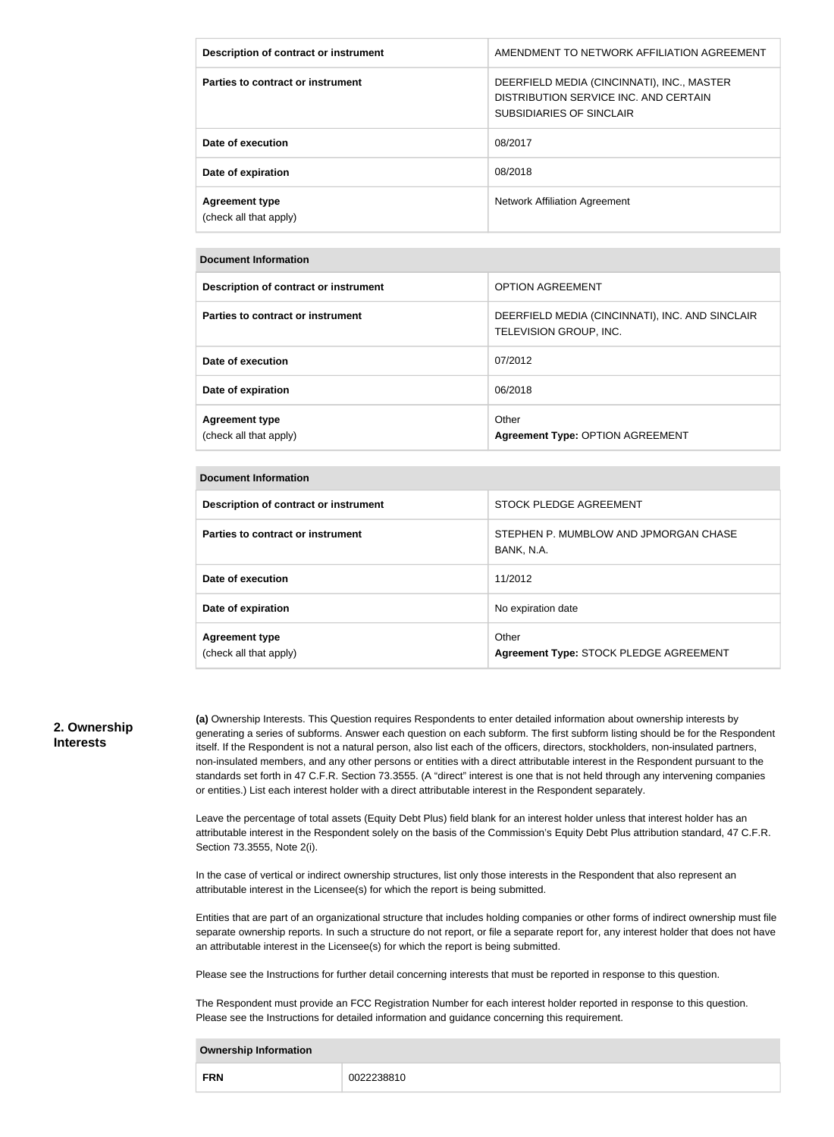| Description of contract or instrument           | AMENDMENT TO NETWORK AFFILIATION AGREEMENT                                                                             |
|-------------------------------------------------|------------------------------------------------------------------------------------------------------------------------|
| Parties to contract or instrument               | DEERFIELD MEDIA (CINCINNATI), INC., MASTER<br>DISTRIBUTION SERVICE INC. AND CERTAIN<br><b>SUBSIDIARIES OF SINCLAIR</b> |
| Date of execution                               | 08/2017                                                                                                                |
| Date of expiration                              | 08/2018                                                                                                                |
| <b>Agreement type</b><br>(check all that apply) | Network Affiliation Agreement                                                                                          |

#### **Document Information**

| Description of contract or instrument           | <b>OPTION AGREEMENT</b>                                                   |
|-------------------------------------------------|---------------------------------------------------------------------------|
| Parties to contract or instrument               | DEERFIELD MEDIA (CINCINNATI), INC. AND SINCLAIR<br>TELEVISION GROUP, INC. |
| Date of execution                               | 07/2012                                                                   |
| Date of expiration                              | 06/2018                                                                   |
| <b>Agreement type</b><br>(check all that apply) | Other<br>Agreement Type: OPTION AGREEMENT                                 |

#### **Document Information**

| Description of contract or instrument           | STOCK PLEDGE AGREEMENT                              |  |
|-------------------------------------------------|-----------------------------------------------------|--|
| Parties to contract or instrument               | STEPHEN P. MUMBLOW AND JPMORGAN CHASE<br>BANK, N.A. |  |
| Date of execution                               | 11/2012                                             |  |
| Date of expiration                              | No expiration date                                  |  |
| <b>Agreement type</b><br>(check all that apply) | Other<br>Agreement Type: STOCK PLEDGE AGREEMENT     |  |

#### **2. Ownership Interests**

**(a)** Ownership Interests. This Question requires Respondents to enter detailed information about ownership interests by generating a series of subforms. Answer each question on each subform. The first subform listing should be for the Respondent itself. If the Respondent is not a natural person, also list each of the officers, directors, stockholders, non-insulated partners, non-insulated members, and any other persons or entities with a direct attributable interest in the Respondent pursuant to the standards set forth in 47 C.F.R. Section 73.3555. (A "direct" interest is one that is not held through any intervening companies or entities.) List each interest holder with a direct attributable interest in the Respondent separately.

Leave the percentage of total assets (Equity Debt Plus) field blank for an interest holder unless that interest holder has an attributable interest in the Respondent solely on the basis of the Commission's Equity Debt Plus attribution standard, 47 C.F.R. Section 73.3555, Note 2(i).

In the case of vertical or indirect ownership structures, list only those interests in the Respondent that also represent an attributable interest in the Licensee(s) for which the report is being submitted.

Entities that are part of an organizational structure that includes holding companies or other forms of indirect ownership must file separate ownership reports. In such a structure do not report, or file a separate report for, any interest holder that does not have an attributable interest in the Licensee(s) for which the report is being submitted.

Please see the Instructions for further detail concerning interests that must be reported in response to this question.

The Respondent must provide an FCC Registration Number for each interest holder reported in response to this question. Please see the Instructions for detailed information and guidance concerning this requirement.

#### **Ownership Information**

| <b>FRN</b> |  |
|------------|--|
|------------|--|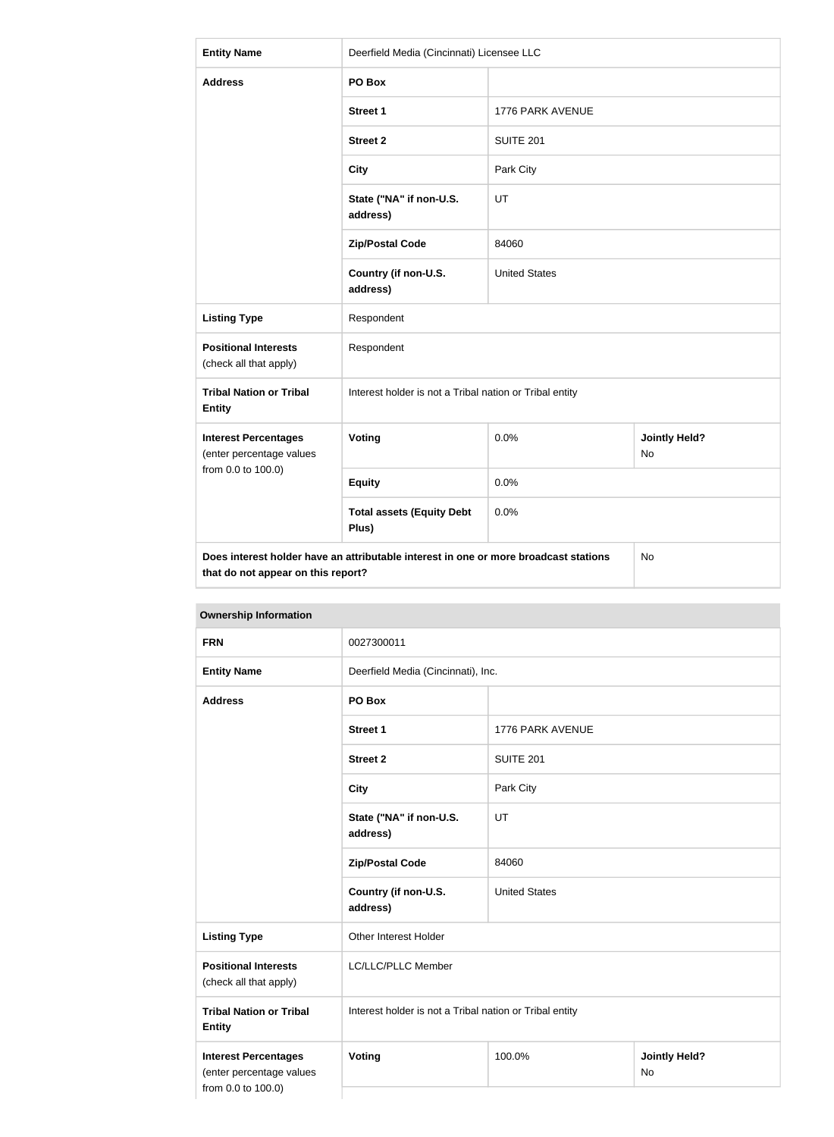| <b>Entity Name</b>                                                                                                               | Deerfield Media (Cincinnati) Licensee LLC               |                      |                            |  |
|----------------------------------------------------------------------------------------------------------------------------------|---------------------------------------------------------|----------------------|----------------------------|--|
| <b>Address</b>                                                                                                                   | PO Box                                                  |                      |                            |  |
|                                                                                                                                  | Street 1                                                | 1776 PARK AVENUE     |                            |  |
|                                                                                                                                  | <b>Street 2</b>                                         | <b>SUITE 201</b>     |                            |  |
|                                                                                                                                  | <b>City</b>                                             | Park City            |                            |  |
|                                                                                                                                  | State ("NA" if non-U.S.<br>address)                     | UT                   |                            |  |
|                                                                                                                                  | <b>Zip/Postal Code</b>                                  | 84060                |                            |  |
|                                                                                                                                  | Country (if non-U.S.<br>address)                        | <b>United States</b> |                            |  |
| <b>Listing Type</b>                                                                                                              | Respondent                                              |                      |                            |  |
| <b>Positional Interests</b><br>(check all that apply)                                                                            | Respondent                                              |                      |                            |  |
| <b>Tribal Nation or Tribal</b><br><b>Entity</b>                                                                                  | Interest holder is not a Tribal nation or Tribal entity |                      |                            |  |
| <b>Interest Percentages</b><br>(enter percentage values                                                                          | Voting                                                  | 0.0%                 | <b>Jointly Held?</b><br>No |  |
| from 0.0 to 100.0)                                                                                                               | <b>Equity</b>                                           | 0.0%                 |                            |  |
|                                                                                                                                  | <b>Total assets (Equity Debt</b><br>Plus)               | 0.0%                 |                            |  |
| Does interest holder have an attributable interest in one or more broadcast stations<br>No<br>that do not appear on this report? |                                                         |                      |                            |  |

| <b>Ownership Information</b>                                                  |                                                         |                                    |  |
|-------------------------------------------------------------------------------|---------------------------------------------------------|------------------------------------|--|
| <b>FRN</b>                                                                    | 0027300011                                              |                                    |  |
| <b>Entity Name</b>                                                            |                                                         | Deerfield Media (Cincinnati), Inc. |  |
| <b>Address</b>                                                                | PO Box                                                  |                                    |  |
|                                                                               | <b>Street 1</b>                                         | 1776 PARK AVENUE                   |  |
|                                                                               | <b>Street 2</b>                                         | <b>SUITE 201</b>                   |  |
|                                                                               | <b>City</b>                                             | Park City                          |  |
|                                                                               | State ("NA" if non-U.S.<br>address)                     | UT                                 |  |
|                                                                               | <b>Zip/Postal Code</b>                                  | 84060                              |  |
|                                                                               | Country (if non-U.S.<br>address)                        | <b>United States</b>               |  |
| <b>Listing Type</b>                                                           | Other Interest Holder                                   |                                    |  |
| <b>Positional Interests</b><br>(check all that apply)                         | LC/LLC/PLLC Member                                      |                                    |  |
| <b>Tribal Nation or Tribal</b><br><b>Entity</b>                               | Interest holder is not a Tribal nation or Tribal entity |                                    |  |
| <b>Interest Percentages</b><br>(enter percentage values<br>from 0.0 to 100.0) | Voting<br><b>Jointly Held?</b><br>100.0%<br><b>No</b>   |                                    |  |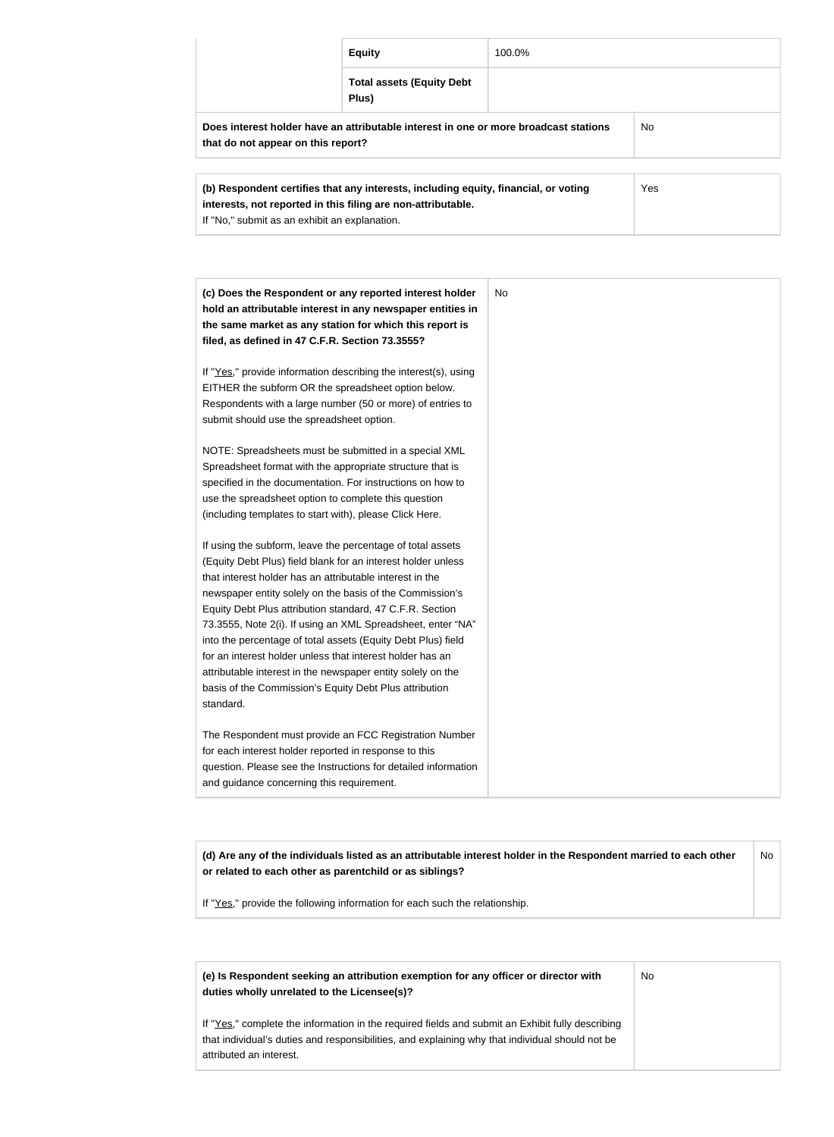|                                                                                                                                                            | <b>Equity</b>                             | 100.0% |  |
|------------------------------------------------------------------------------------------------------------------------------------------------------------|-------------------------------------------|--------|--|
|                                                                                                                                                            | <b>Total assets (Equity Debt</b><br>Plus) |        |  |
| Does interest holder have an attributable interest in one or more broadcast stations<br>No.<br>that do not appear on this report?                          |                                           |        |  |
| Yes<br>(b) Respondent certifies that any interests, including equity, financial, or voting<br>interests, not reported in this filing are non-attributable. |                                           |        |  |

| (c) Does the Respondent or any reported interest holder         | <b>No</b> |
|-----------------------------------------------------------------|-----------|
| hold an attributable interest in any newspaper entities in      |           |
| the same market as any station for which this report is         |           |
| filed, as defined in 47 C.F.R. Section 73.3555?                 |           |
| If "Yes," provide information describing the interest(s), using |           |
| EITHER the subform OR the spreadsheet option below.             |           |
| Respondents with a large number (50 or more) of entries to      |           |
| submit should use the spreadsheet option.                       |           |
| NOTE: Spreadsheets must be submitted in a special XML           |           |
| Spreadsheet format with the appropriate structure that is       |           |
| specified in the documentation. For instructions on how to      |           |
| use the spreadsheet option to complete this question            |           |
| (including templates to start with), please Click Here.         |           |
| If using the subform, leave the percentage of total assets      |           |
| (Equity Debt Plus) field blank for an interest holder unless    |           |
| that interest holder has an attributable interest in the        |           |
| newspaper entity solely on the basis of the Commission's        |           |
| Equity Debt Plus attribution standard, 47 C.F.R. Section        |           |
| 73.3555, Note 2(i). If using an XML Spreadsheet, enter "NA"     |           |
| into the percentage of total assets (Equity Debt Plus) field    |           |
| for an interest holder unless that interest holder has an       |           |
| attributable interest in the newspaper entity solely on the     |           |
| basis of the Commission's Equity Debt Plus attribution          |           |
| standard.                                                       |           |
| The Respondent must provide an FCC Registration Number          |           |
| for each interest holder reported in response to this           |           |
| question. Please see the Instructions for detailed information  |           |
| and guidance concerning this requirement.                       |           |

**(d) Are any of the individuals listed as an attributable interest holder in the Respondent married to each other or related to each other as parentchild or as siblings?** No

If "Yes," provide the following information for each such the relationship.

If "No," submit as an exhibit an explanation.

| (e) Is Respondent seeking an attribution exemption for any officer or director with<br>duties wholly unrelated to the Licensee(s)?                                                                                             | No |
|--------------------------------------------------------------------------------------------------------------------------------------------------------------------------------------------------------------------------------|----|
| If "Yes," complete the information in the required fields and submit an Exhibit fully describing<br>that individual's duties and responsibilities, and explaining why that individual should not be<br>attributed an interest. |    |